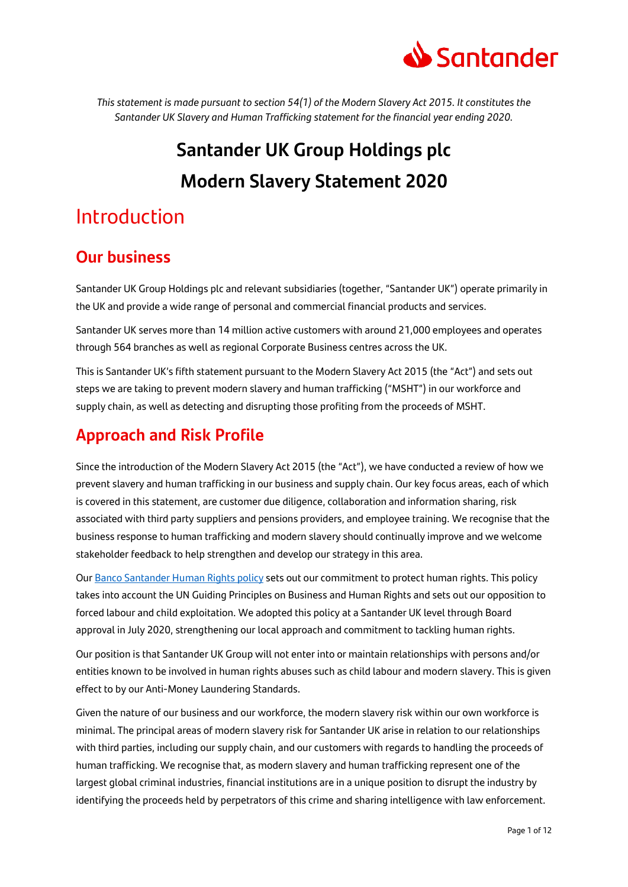

*This statement is made pursuant to section 54(1) of the Modern Slavery Act 2015. It constitutes the Santander UK Slavery and Human Trafficking statement for the financial year ending 2020.*

# **Santander UK Group Holdings plc Modern Slavery Statement 2020**

## Introduction

### **Our business**

Santander UK Group Holdings plc and relevant subsidiaries (together, "Santander UK") operate primarily in the UK and provide a wide range of personal and commercial financial products and services.

Santander UK serves more than 14 million active customers with around 21,000 employees and operates through 564 branches as well as regional Corporate Business centres across the UK.

This is Santander UK's fifth statement pursuant to the Modern Slavery Act 2015 (the "Act") and sets out steps we are taking to prevent modern slavery and human trafficking ("MSHT") in our workforce and supply chain, as well as detecting and disrupting those profiting from the proceeds of MSHT.

### **Approach and Risk Profile**

Since the introduction of the Modern Slavery Act 2015 (the "Act"), we have conducted a review of how we prevent slavery and human trafficking in our business and supply chain. Our key focus areas, each of which is covered in this statement, are customer due diligence, collaboration and information sharing, risk associated with third party suppliers and pensions providers, and employee training. We recognise that the business response to human trafficking and modern slavery should continually improve and we welcome stakeholder feedback to help strengthen and develop our strategy in this area.

Our [Banco Santander Human Rights policy](https://www.santander.com/content/dam/santander-com/en/contenido-paginas/nuestro-compromiso/pol%C3%ADticas/do-Human%20rights%20policy-en.pdf) sets out our commitment to protect human rights. This policy takes into account the UN Guiding Principles on Business and Human Rights and sets out our opposition to forced labour and child exploitation. We adopted this policy at a Santander UK level through Board approval in July 2020, strengthening our local approach and commitment to tackling human rights.

Our position is that Santander UK Group will not enter into or maintain relationships with persons and/or entities known to be involved in human rights abuses such as child labour and modern slavery. This is given effect to by our Anti-Money Laundering Standards.

Given the nature of our business and our workforce, the modern slavery risk within our own workforce is minimal. The principal areas of modern slavery risk for Santander UK arise in relation to our relationships with third parties, including our supply chain, and our customers with regards to handling the proceeds of human trafficking. We recognise that, as modern slavery and human trafficking represent one of the largest global criminal industries, financial institutions are in a unique position to disrupt the industry by identifying the proceeds held by perpetrators of this crime and sharing intelligence with law enforcement.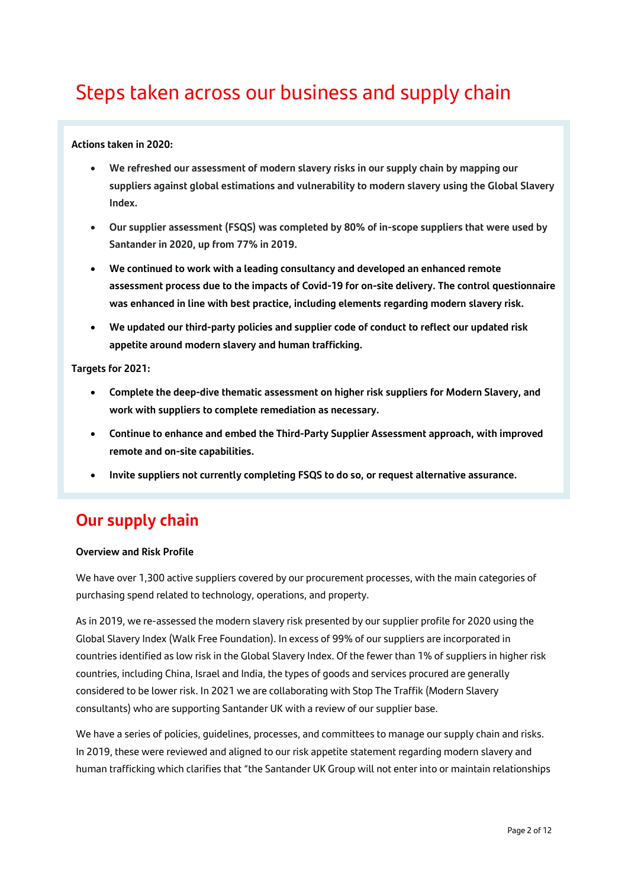## Steps taken across our business and supply chain

### **Actions taken in 2020:**

- **We refreshed our assessment of modern slavery risks in our supply chain by mapping our suppliers against global estimations and vulnerability to modern slavery using the Global Slavery Index.**
- **Our supplier assessment (FSQS) was completed by 80% of in-scope suppliers that were used by Santander in 2020, up from 77% in 2019.**
- **We continued to work with a leading consultancy and developed an enhanced remote assessment process due to the impacts of Covid-19 for on-site delivery. The control questionnaire was enhanced in line with best practice, including elements regarding modern slavery risk.**
- **We updated our third-party policies and supplier code of conduct to reflect our updated risk appetite around modern slavery and human trafficking.**

### **Targets for 2021:**

- **Complete the deep-dive thematic assessment on higher risk suppliers for Modern Slavery, and work with suppliers to complete remediation as necessary.**
- **Continue to enhance and embed the Third-Party Supplier Assessment approach, with improved remote and on-site capabilities.**
- **Invite suppliers not currently completing FSQS to do so, or request alternative assurance.**

### **Our supply chain**

### **Overview and Risk Profile**

We have over 1,300 active suppliers covered by our procurement processes, with the main categories of purchasing spend related to technology, operations, and property.

As in 2019, we re-assessed the modern slavery risk presented by our supplier profile for 2020 using the Global Slavery Index (Walk Free Foundation). In excess of 99% of our suppliers are incorporated in countries identified as low risk in the Global Slavery Index. Of the fewer than 1% of suppliers in higher risk countries, including China, Israel and India, the types of goods and services procured are generally considered to be lower risk. In 2021 we are collaborating with Stop The Traffik (Modern Slavery consultants) who are supporting Santander UK with a review of our supplier base.

We have a series of policies, guidelines, processes, and committees to manage our supply chain and risks. In 2019, these were reviewed and aligned to our risk appetite statement regarding modern slavery and human trafficking which clarifies that "the Santander UK Group will not enter into or maintain relationships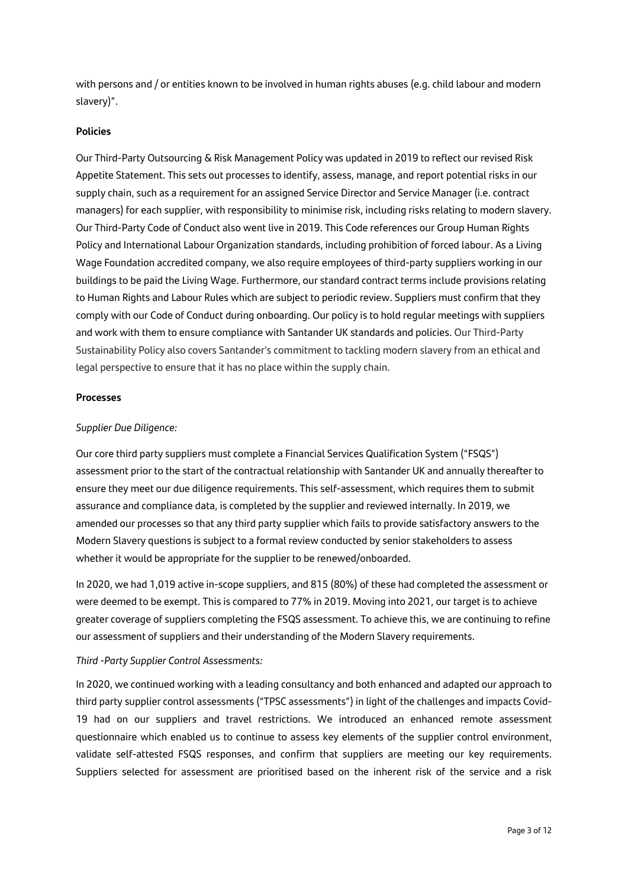with persons and / or entities known to be involved in human rights abuses (e.g. child labour and modern slavery)".

### **Policies**

Our Third-Party Outsourcing & Risk Management Policy was updated in 2019 to reflect our revised Risk Appetite Statement. This sets out processes to identify, assess, manage, and report potential risks in our supply chain, such as a requirement for an assigned Service Director and Service Manager (i.e. contract managers) for each supplier, with responsibility to minimise risk, including risks relating to modern slavery. Our Third-Party Code of Conduct also went live in 2019. This Code references our Group Human Rights Policy and International Labour Organization standards, including prohibition of forced labour. As a Living Wage Foundation accredited company, we also require employees of third-party suppliers working in our buildings to be paid the Living Wage. Furthermore, our standard contract terms include provisions relating to Human Rights and Labour Rules which are subject to periodic review. Suppliers must confirm that they comply with our Code of Conduct during onboarding. Our policy is to hold regular meetings with suppliers and work with them to ensure compliance with Santander UK standards and policies. Our Third-Party Sustainability Policy also covers Santander's commitment to tackling modern slavery from an ethical and legal perspective to ensure that it has no place within the supply chain.

### **Processes**

### *Supplier Due Diligence:*

Our core third party suppliers must complete a Financial Services Qualification System ("FSQS") assessment prior to the start of the contractual relationship with Santander UK and annually thereafter to ensure they meet our due diligence requirements. This self-assessment, which requires them to submit assurance and compliance data, is completed by the supplier and reviewed internally. In 2019, we amended our processes so that any third party supplier which fails to provide satisfactory answers to the Modern Slavery questions is subject to a formal review conducted by senior stakeholders to assess whether it would be appropriate for the supplier to be renewed/onboarded.

In 2020, we had 1,019 active in-scope suppliers, and 815 (80%) of these had completed the assessment or were deemed to be exempt. This is compared to 77% in 2019. Moving into 2021, our target is to achieve greater coverage of suppliers completing the FSQS assessment. To achieve this, we are continuing to refine our assessment of suppliers and their understanding of the Modern Slavery requirements.

### *Third -Party Supplier Control Assessments:*

In 2020, we continued working with a leading consultancy and both enhanced and adapted our approach to third party supplier control assessments ("TPSC assessments") in light of the challenges and impacts Covid-19 had on our suppliers and travel restrictions. We introduced an enhanced remote assessment questionnaire which enabled us to continue to assess key elements of the supplier control environment, validate self-attested FSQS responses, and confirm that suppliers are meeting our key requirements. Suppliers selected for assessment are prioritised based on the inherent risk of the service and a risk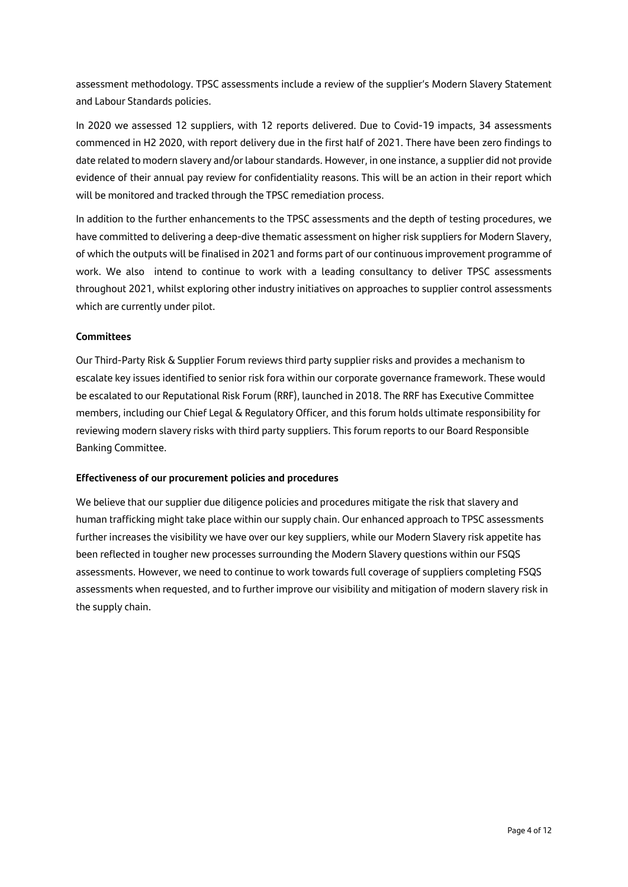assessment methodology. TPSC assessments include a review of the supplier's Modern Slavery Statement and Labour Standards policies.

In 2020 we assessed 12 suppliers, with 12 reports delivered. Due to Covid-19 impacts, 34 assessments commenced in H2 2020, with report delivery due in the first half of 2021. There have been zero findings to date related to modern slavery and/or labour standards. However, in one instance, a supplier did not provide evidence of their annual pay review for confidentiality reasons. This will be an action in their report which will be monitored and tracked through the TPSC remediation process.

In addition to the further enhancements to the TPSC assessments and the depth of testing procedures, we have committed to delivering a deep-dive thematic assessment on higher risk suppliers for Modern Slavery, of which the outputs will be finalised in 2021 and forms part of our continuous improvement programme of work. We also intend to continue to work with a leading consultancy to deliver TPSC assessments throughout 2021, whilst exploring other industry initiatives on approaches to supplier control assessments which are currently under pilot.

### **Committees**

Our Third-Party Risk & Supplier Forum reviews third party supplier risks and provides a mechanism to escalate key issues identified to senior risk fora within our corporate governance framework. These would be escalated to our Reputational Risk Forum (RRF), launched in 2018. The RRF has Executive Committee members, including our Chief Legal & Regulatory Officer, and this forum holds ultimate responsibility for reviewing modern slavery risks with third party suppliers. This forum reports to our Board Responsible Banking Committee.

### **Effectiveness of our procurement policies and procedures**

We believe that our supplier due diligence policies and procedures mitigate the risk that slavery and human trafficking might take place within our supply chain. Our enhanced approach to TPSC assessments further increases the visibility we have over our key suppliers, while our Modern Slavery risk appetite has been reflected in tougher new processes surrounding the Modern Slavery questions within our FSQS assessments. However, we need to continue to work towards full coverage of suppliers completing FSQS assessments when requested, and to further improve our visibility and mitigation of modern slavery risk in the supply chain.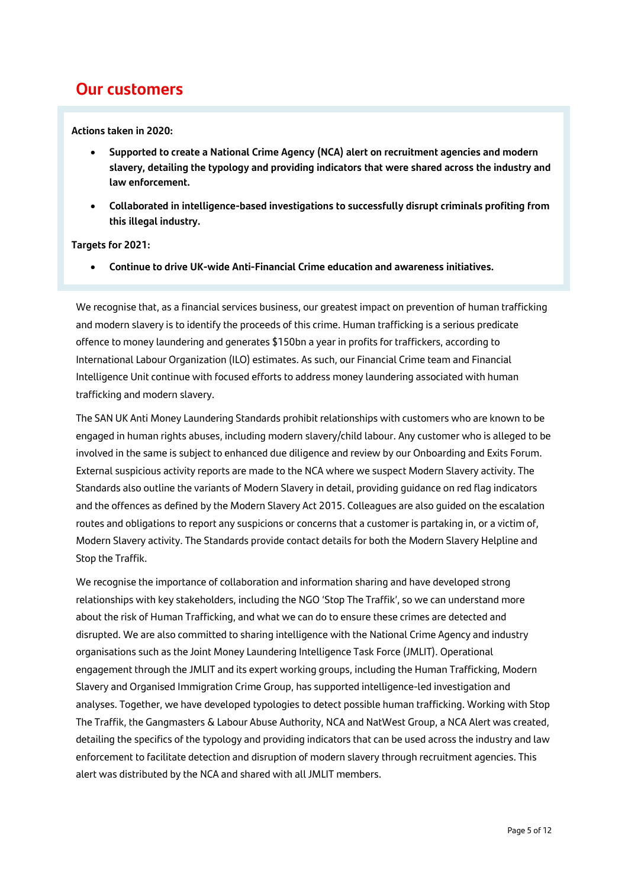### **Our customers**

**Actions taken in 2020:**

- **Supported to create a National Crime Agency (NCA) alert on recruitment agencies and modern slavery, detailing the typology and providing indicators that were shared across the industry and law enforcement.**
- **Collaborated in intelligence-based investigations to successfully disrupt criminals profiting from this illegal industry.**

### **Targets for 2021:**

• **Continue to drive UK-wide Anti-Financial Crime education and awareness initiatives.**

We recognise that, as a financial services business, our greatest impact on prevention of human trafficking and modern slavery is to identify the proceeds of this crime. Human trafficking is a serious predicate offence to money laundering and generates \$150bn a year in profits for traffickers, according to International Labour Organization (ILO) estimates. As such, our Financial Crime team and Financial Intelligence Unit continue with focused efforts to address money laundering associated with human trafficking and modern slavery.

The SAN UK Anti Money Laundering Standards prohibit relationships with customers who are known to be engaged in human rights abuses, including modern slavery/child labour. Any customer who is alleged to be involved in the same is subject to enhanced due diligence and review by our Onboarding and Exits Forum. External suspicious activity reports are made to the NCA where we suspect Modern Slavery activity. The Standards also outline the variants of Modern Slavery in detail, providing guidance on red flag indicators and the offences as defined by the Modern Slavery Act 2015. Colleagues are also guided on the escalation routes and obligations to report any suspicions or concerns that a customer is partaking in, or a victim of, Modern Slavery activity. The Standards provide contact details for both the Modern Slavery Helpline and Stop the Traffik.

We recognise the importance of collaboration and information sharing and have developed strong relationships with key stakeholders, including the NGO 'Stop The Traffik', so we can understand more about the risk of Human Trafficking, and what we can do to ensure these crimes are detected and disrupted. We are also committed to sharing intelligence with the National Crime Agency and industry organisations such as the Joint Money Laundering Intelligence Task Force (JMLIT). Operational engagement through the JMLIT and its expert working groups, including the Human Trafficking, Modern Slavery and Organised Immigration Crime Group, has supported intelligence-led investigation and analyses. Together, we have developed typologies to detect possible human trafficking. Working with Stop The Traffik, the Gangmasters & Labour Abuse Authority, NCA and NatWest Group, a NCA Alert was created, detailing the specifics of the typology and providing indicators that can be used across the industry and law enforcement to facilitate detection and disruption of modern slavery through recruitment agencies. This alert was distributed by the NCA and shared with all JMLIT members.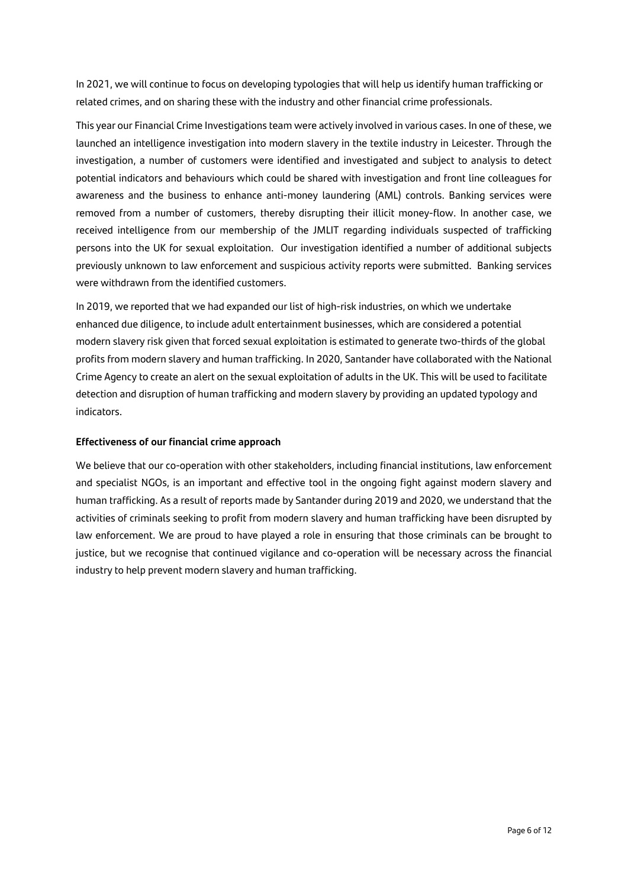In 2021, we will continue to focus on developing typologies that will help us identify human trafficking or related crimes, and on sharing these with the industry and other financial crime professionals.

This year our Financial Crime Investigations team were actively involved in various cases. In one of these, we launched an intelligence investigation into modern slavery in the textile industry in Leicester. Through the investigation, a number of customers were identified and investigated and subject to analysis to detect potential indicators and behaviours which could be shared with investigation and front line colleagues for awareness and the business to enhance anti-money laundering (AML) controls. Banking services were removed from a number of customers, thereby disrupting their illicit money-flow. In another case, we received intelligence from our membership of the JMLIT regarding individuals suspected of trafficking persons into the UK for sexual exploitation. Our investigation identified a number of additional subjects previously unknown to law enforcement and suspicious activity reports were submitted. Banking services were withdrawn from the identified customers.

In 2019, we reported that we had expanded our list of high-risk industries, on which we undertake enhanced due diligence, to include adult entertainment businesses, which are considered a potential modern slavery risk given that forced sexual exploitation is estimated to generate two-thirds of the global profits from modern slavery and human trafficking. In 2020, Santander have collaborated with the National Crime Agency to create an alert on the sexual exploitation of adults in the UK. This will be used to facilitate detection and disruption of human trafficking and modern slavery by providing an updated typology and indicators.

### **Effectiveness of our financial crime approach**

We believe that our co-operation with other stakeholders, including financial institutions, law enforcement and specialist NGOs, is an important and effective tool in the ongoing fight against modern slavery and human trafficking. As a result of reports made by Santander during 2019 and 2020, we understand that the activities of criminals seeking to profit from modern slavery and human trafficking have been disrupted by law enforcement. We are proud to have played a role in ensuring that those criminals can be brought to justice, but we recognise that continued vigilance and co-operation will be necessary across the financial industry to help prevent modern slavery and human trafficking.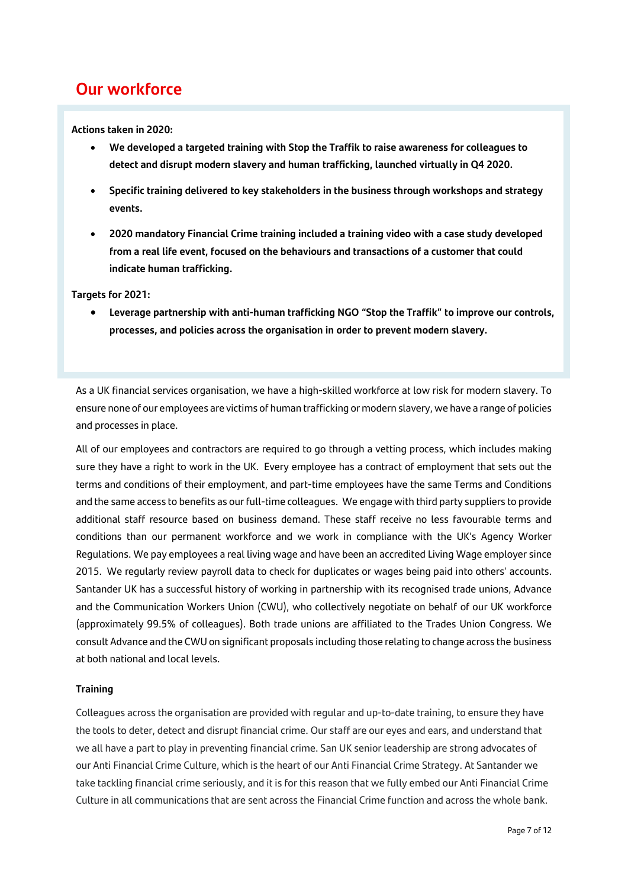### **Our workforce**

**Actions taken in 2020:**

- **We developed a targeted training with Stop the Traffik to raise awareness for colleagues to detect and disrupt modern slavery and human trafficking, launched virtually in Q4 2020.**
- **Specific training delivered to key stakeholders in the business through workshops and strategy events.**
- **2020 mandatory Financial Crime training included a training video with a case study developed from a real life event, focused on the behaviours and transactions of a customer that could indicate human trafficking.**

**Targets for 2021:**

• **Leverage partnership with anti-human trafficking NGO "Stop the Traffik" to improve our controls, processes, and policies across the organisation in order to prevent modern slavery.**

As a UK financial services organisation, we have a high-skilled workforce at low risk for modern slavery. To ensure none of our employees are victims of human trafficking or modern slavery, we have a range of policies and processes in place.

All of our employees and contractors are required to go through a vetting process, which includes making sure they have a right to work in the UK. Every employee has a contract of employment that sets out the terms and conditions of their employment, and part-time employees have the same Terms and Conditions and the same access to benefits as our full-time colleagues. We engage with third party suppliers to provide additional staff resource based on business demand. These staff receive no less favourable terms and conditions than our permanent workforce and we work in compliance with the UK's Agency Worker Regulations. We pay employees a real living wage and have been an accredited Living Wage employer since 2015. We regularly review payroll data to check for duplicates or wages being paid into others' accounts. Santander UK has a successful history of working in partnership with its recognised trade unions, Advance and the Communication Workers Union (CWU), who collectively negotiate on behalf of our UK workforce (approximately 99.5% of colleagues). Both trade unions are affiliated to the Trades Union Congress. We consult Advance and the CWU on significant proposals including those relating to change across the business at both national and local levels.

### **Training**

Colleagues across the organisation are provided with regular and up-to-date training, to ensure they have the tools to deter, detect and disrupt financial crime. Our staff are our eyes and ears, and understand that we all have a part to play in preventing financial crime. San UK senior leadership are strong advocates of our Anti Financial Crime Culture, which is the heart of our Anti Financial Crime Strategy. At Santander we take tackling financial crime seriously, and it is for this reason that we fully embed our Anti Financial Crime Culture in all communications that are sent across the Financial Crime function and across the whole bank.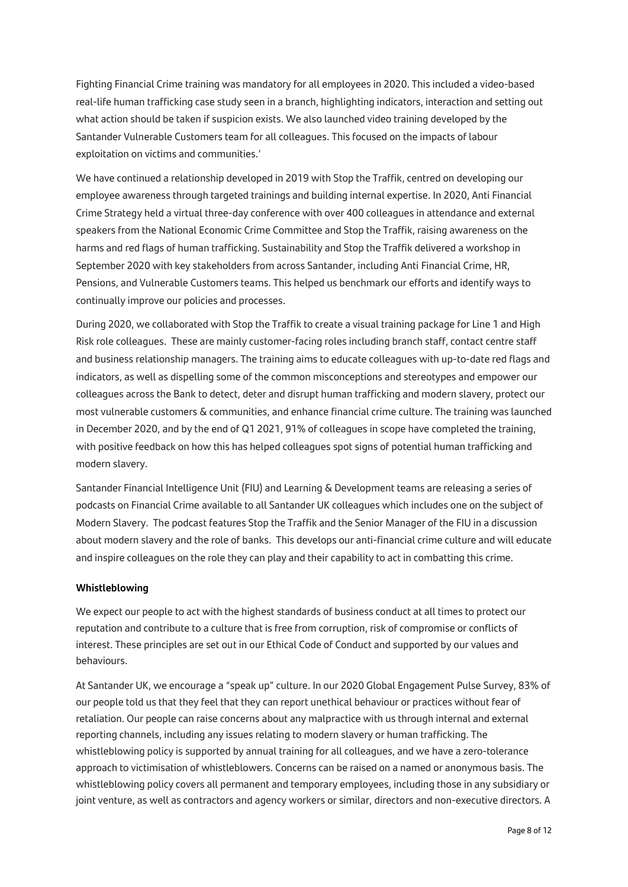Fighting Financial Crime training was mandatory for all employees in 2020. This included a video-based real-life human trafficking case study seen in a branch, highlighting indicators, interaction and setting out what action should be taken if suspicion exists. We also launched video training developed by the Santander Vulnerable Customers team for all colleagues. This focused on the impacts of labour exploitation on victims and communities.'

We have continued a relationship developed in 2019 with Stop the Traffik, centred on developing our employee awareness through targeted trainings and building internal expertise. In 2020, Anti Financial Crime Strategy held a virtual three-day conference with over 400 colleagues in attendance and external speakers from the National Economic Crime Committee and Stop the Traffik, raising awareness on the harms and red flags of human trafficking. Sustainability and Stop the Traffik delivered a workshop in September 2020 with key stakeholders from across Santander, including Anti Financial Crime, HR, Pensions, and Vulnerable Customers teams. This helped us benchmark our efforts and identify ways to continually improve our policies and processes.

During 2020, we collaborated with Stop the Traffik to create a visual training package for Line 1 and High Risk role colleagues. These are mainly customer-facing roles including branch staff, contact centre staff and business relationship managers. The training aims to educate colleagues with up-to-date red flags and indicators, as well as dispelling some of the common misconceptions and stereotypes and empower our colleagues across the Bank to detect, deter and disrupt human trafficking and modern slavery, protect our most vulnerable customers & communities, and enhance financial crime culture. The training was launched in December 2020, and by the end of Q1 2021, 91% of colleagues in scope have completed the training, with positive feedback on how this has helped colleagues spot signs of potential human trafficking and modern slavery.

Santander Financial Intelligence Unit (FIU) and Learning & Development teams are releasing a series of podcasts on Financial Crime available to all Santander UK colleagues which includes one on the subject of Modern Slavery. The podcast features Stop the Traffik and the Senior Manager of the FIU in a discussion about modern slavery and the role of banks. This develops our anti-financial crime culture and will educate and inspire colleagues on the role they can play and their capability to act in combatting this crime.

### **Whistleblowing**

We expect our people to act with the highest standards of business conduct at all times to protect our reputation and contribute to a culture that is free from corruption, risk of compromise or conflicts of interest. These principles are set out in our Ethical Code of Conduct and supported by our values and behaviours.

At Santander UK, we encourage a "speak up" culture. In our 2020 Global Engagement Pulse Survey, 83% of our people told us that they feel that they can report unethical behaviour or practices without fear of retaliation. Our people can raise concerns about any malpractice with us through internal and external reporting channels, including any issues relating to modern slavery or human trafficking. The whistleblowing policy is supported by annual training for all colleagues, and we have a zero-tolerance approach to victimisation of whistleblowers. Concerns can be raised on a named or anonymous basis. The whistleblowing policy covers all permanent and temporary employees, including those in any subsidiary or joint venture, as well as contractors and agency workers or similar, directors and non-executive directors. A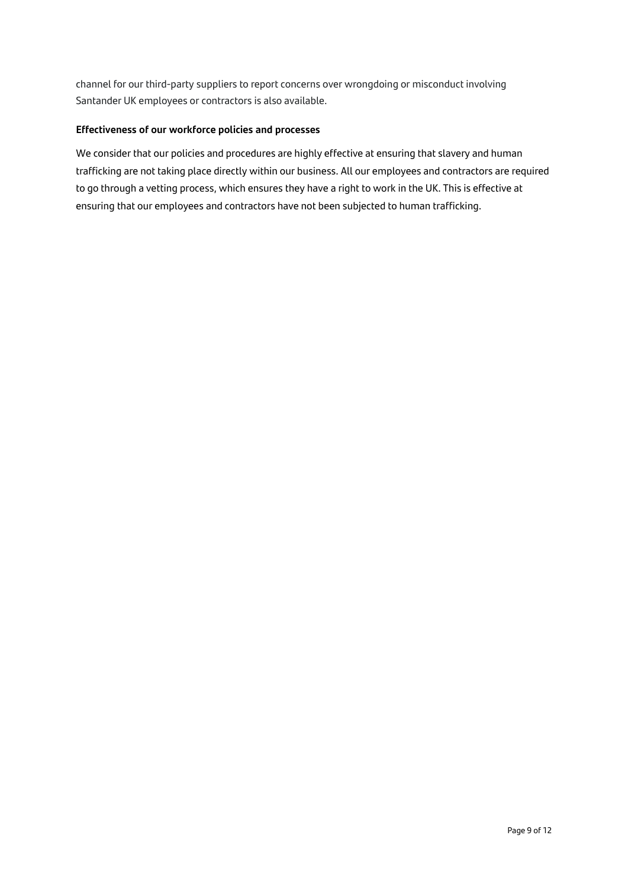channel for our third-party suppliers to report concerns over wrongdoing or misconduct involving Santander UK employees or contractors is also available.

### **Effectiveness of our workforce policies and processes**

We consider that our policies and procedures are highly effective at ensuring that slavery and human trafficking are not taking place directly within our business. All our employees and contractors are required to go through a vetting process, which ensures they have a right to work in the UK. This is effective at ensuring that our employees and contractors have not been subjected to human trafficking.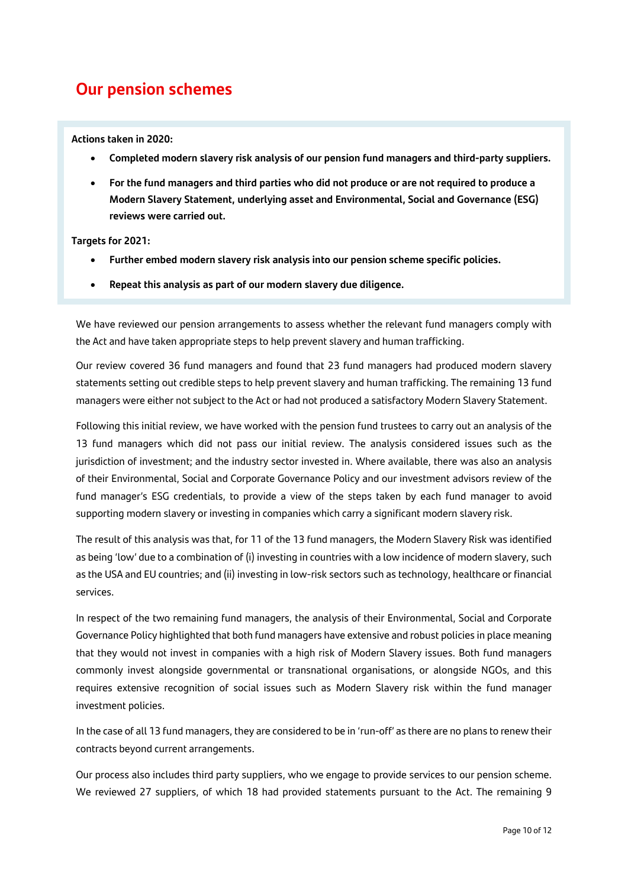### **Our pension schemes**

### **Actions taken in 2020:**

- **Completed modern slavery risk analysis of our pension fund managers and third-party suppliers.**
- **For the fund managers and third parties who did not produce or are not required to produce a Modern Slavery Statement, underlying asset and Environmental, Social and Governance (ESG) reviews were carried out.**

### **Targets for 2021:**

- **Further embed modern slavery risk analysis into our pension scheme specific policies.**
- **Repeat this analysis as part of our modern slavery due diligence.**

We have reviewed our pension arrangements to assess whether the relevant fund managers comply with the Act and have taken appropriate steps to help prevent slavery and human trafficking.

Our review covered 36 fund managers and found that 23 fund managers had produced modern slavery statements setting out credible steps to help prevent slavery and human trafficking. The remaining 13 fund managers were either not subject to the Act or had not produced a satisfactory Modern Slavery Statement.

Following this initial review, we have worked with the pension fund trustees to carry out an analysis of the 13 fund managers which did not pass our initial review. The analysis considered issues such as the jurisdiction of investment; and the industry sector invested in. Where available, there was also an analysis of their Environmental, Social and Corporate Governance Policy and our investment advisors review of the fund manager's ESG credentials, to provide a view of the steps taken by each fund manager to avoid supporting modern slavery or investing in companies which carry a significant modern slavery risk.

The result of this analysis was that, for 11 of the 13 fund managers, the Modern Slavery Risk was identified as being 'low' due to a combination of (i) investing in countries with a low incidence of modern slavery, such as the USA and EU countries; and (ii) investing in low-risk sectors such as technology, healthcare or financial services.

In respect of the two remaining fund managers, the analysis of their Environmental, Social and Corporate Governance Policy highlighted that both fund managers have extensive and robust policies in place meaning that they would not invest in companies with a high risk of Modern Slavery issues. Both fund managers commonly invest alongside governmental or transnational organisations, or alongside NGOs, and this requires extensive recognition of social issues such as Modern Slavery risk within the fund manager investment policies.

In the case of all 13 fund managers, they are considered to be in 'run-off' as there are no plans to renew their contracts beyond current arrangements.

Our process also includes third party suppliers, who we engage to provide services to our pension scheme. We reviewed 27 suppliers, of which 18 had provided statements pursuant to the Act. The remaining 9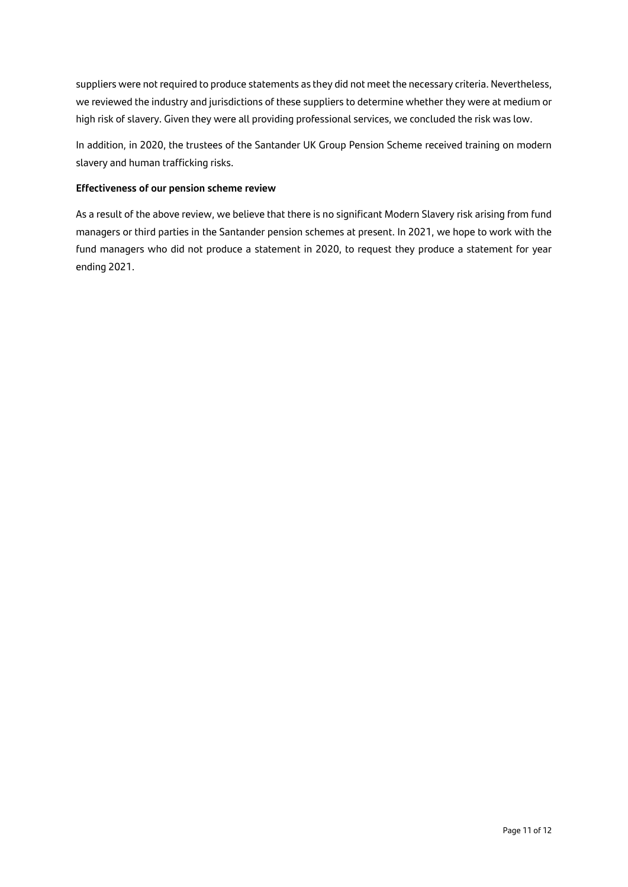suppliers were not required to produce statements as they did not meet the necessary criteria. Nevertheless, we reviewed the industry and jurisdictions of these suppliers to determine whether they were at medium or high risk of slavery. Given they were all providing professional services, we concluded the risk was low.

In addition, in 2020, the trustees of the Santander UK Group Pension Scheme received training on modern slavery and human trafficking risks.

### **Effectiveness of our pension scheme review**

As a result of the above review, we believe that there is no significant Modern Slavery risk arising from fund managers or third parties in the Santander pension schemes at present. In 2021, we hope to work with the fund managers who did not produce a statement in 2020, to request they produce a statement for year ending 2021.